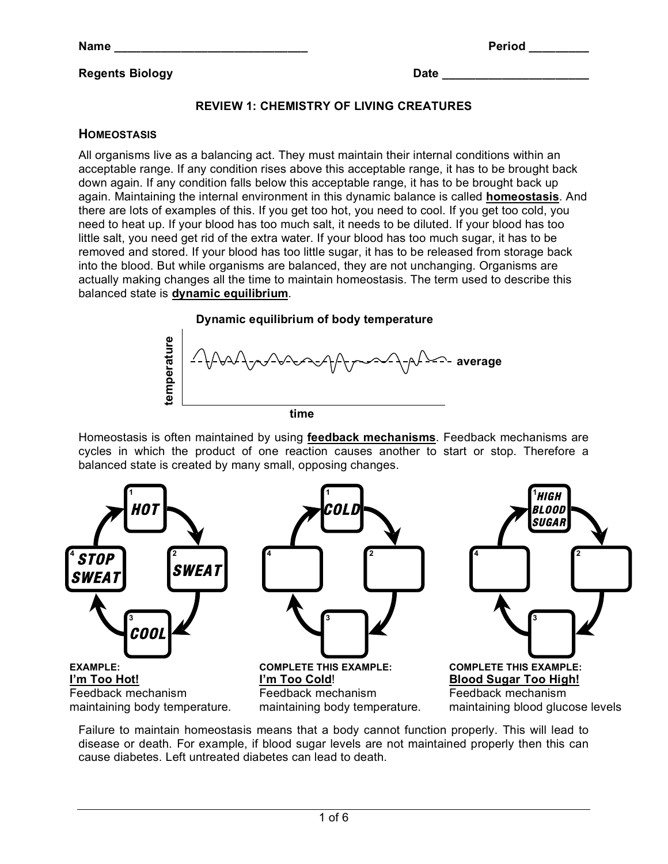#### **Regents Biology Date \_\_\_\_\_\_\_\_\_\_\_\_\_\_\_\_\_\_\_\_\_\_**

#### **REVIEW 1: CHEMISTRY OF LIVING CREATURES**

#### **HOMEOSTASIS**

All organisms live as a balancing act. They must maintain their internal conditions within an acceptable range. If any condition rises above this acceptable range, it has to be brought back down again. If any condition falls below this acceptable range, it has to be brought back up again. Maintaining the internal environment in this dynamic balance is called **homeostasis**. And there are lots of examples of this. If you get too hot, you need to cool. If you get too cold, you need to heat up. If your blood has too much salt, it needs to be diluted. If your blood has too little salt, you need get rid of the extra water. If your blood has too much sugar, it has to be removed and stored. If your blood has too little sugar, it has to be released from storage back into the blood. But while organisms are balanced, they are not unchanging. Organisms are actually making changes all the time to maintain homeostasis. The term used to describe this balanced state is **dynamic equilibrium**.



Homeostasis is often maintained by using **feedback mechanisms**. Feedback mechanisms are cycles in which the product of one reaction causes another to start or stop. Therefore a balanced state is created by many small, opposing changes.



Failure to maintain homeostasis means that a body cannot function properly. This will lead to disease or death. For example, if blood sugar levels are not maintained properly then this can cause diabetes. Left untreated diabetes can lead to death.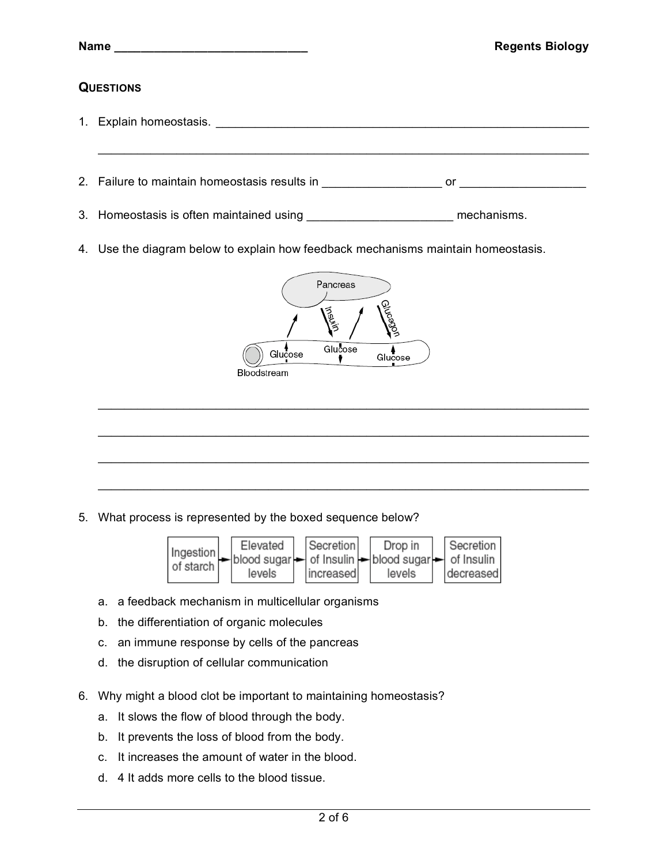|                  | <b>Regents Biology</b>                                                               |  |  |
|------------------|--------------------------------------------------------------------------------------|--|--|
| <b>QUESTIONS</b> |                                                                                      |  |  |
|                  |                                                                                      |  |  |
|                  |                                                                                      |  |  |
|                  |                                                                                      |  |  |
|                  | 3. Homeostasis is often maintained using ___________________________ mechanisms.     |  |  |
|                  | 4. Use the diagram below to explain how feedback mechanisms maintain homeostasis.    |  |  |
|                  | Pancreas<br>Glucagol<br>multiply<br>Glucose<br>Glucose<br>Glucose<br>Bloodstream     |  |  |
| 5.               | What process is represented by the boxed sequence below?<br>$\overline{\phantom{a}}$ |  |  |



- a. a feedback mechanism in multicellular organisms
- b. the differentiation of organic molecules
- c. an immune response by cells of the pancreas
- d. the disruption of cellular communication
- 6. Why might a blood clot be important to maintaining homeostasis?
	- a. It slows the flow of blood through the body.
	- b. It prevents the loss of blood from the body.
	- c. It increases the amount of water in the blood.
	- d. 4 It adds more cells to the blood tissue.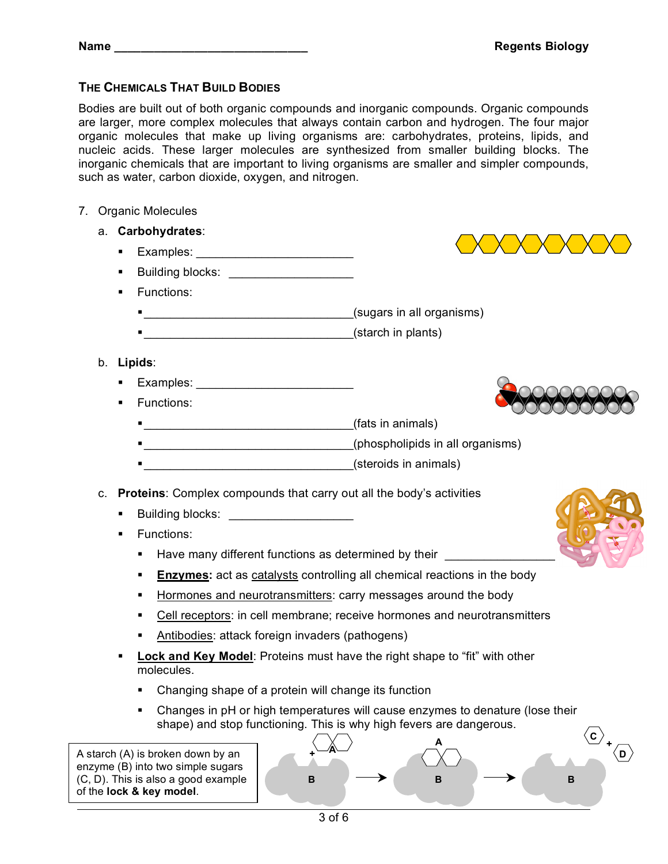### **THE CHEMICALS THAT BUILD BODIES**

Bodies are built out of both organic compounds and inorganic compounds. Organic compounds are larger, more complex molecules that always contain carbon and hydrogen. The four major organic molecules that make up living organisms are: carbohydrates, proteins, lipids, and nucleic acids. These larger molecules are synthesized from smaller building blocks. The inorganic chemicals that are important to living organisms are smaller and simpler compounds, such as water, carbon dioxide, oxygen, and nitrogen.

7. Organic Molecules

| a. | Carbohydrates:                                                                                                                                                                                                  |                                                                                                           |
|----|-----------------------------------------------------------------------------------------------------------------------------------------------------------------------------------------------------------------|-----------------------------------------------------------------------------------------------------------|
|    | ٠                                                                                                                                                                                                               |                                                                                                           |
|    | ٠                                                                                                                                                                                                               |                                                                                                           |
|    | Functions:<br>٠                                                                                                                                                                                                 |                                                                                                           |
|    |                                                                                                                                                                                                                 |                                                                                                           |
|    |                                                                                                                                                                                                                 |                                                                                                           |
|    | b. Lipids:                                                                                                                                                                                                      |                                                                                                           |
|    | ٠                                                                                                                                                                                                               |                                                                                                           |
|    | Functions:<br>٠                                                                                                                                                                                                 |                                                                                                           |
|    |                                                                                                                                                                                                                 |                                                                                                           |
|    |                                                                                                                                                                                                                 |                                                                                                           |
|    | (steroids in animals)                                                                                                                                                                                           |                                                                                                           |
| C. | Proteins: Complex compounds that carry out all the body's activities<br>Building blocks: _______________________<br>٠<br>Functions:<br>٠<br>Have many different functions as determined by their _________<br>٠ |                                                                                                           |
|    | <b>Enzymes:</b> act as catalysts controlling all chemical reactions in the body<br>٠                                                                                                                            |                                                                                                           |
|    | Hormones and neurotransmitters: carry messages around the body<br>٠                                                                                                                                             |                                                                                                           |
|    | ٠                                                                                                                                                                                                               | Cell receptors: in cell membrane; receive hormones and neurotransmitters                                  |
|    | Antibodies: attack foreign invaders (pathogens)<br>٠                                                                                                                                                            |                                                                                                           |
|    | Lock and Key Model: Proteins must have the right shape to "fit" with other<br>molecules.                                                                                                                        |                                                                                                           |
|    | Changing shape of a protein will change its function                                                                                                                                                            |                                                                                                           |
|    | shape) and stop functioning. This is why high fevers are dangerous.                                                                                                                                             | Changes in pH or high temperatures will cause enzymes to denature (lose their<br>$\langle {\tt c}\rangle$ |
|    | A starch (A) is broken down by an<br>enzyme (B) into two simple sugars<br>(C, D). This is also a good example<br>В<br>of the lock & key model.                                                                  | A<br>ÓD.<br>В<br>В                                                                                        |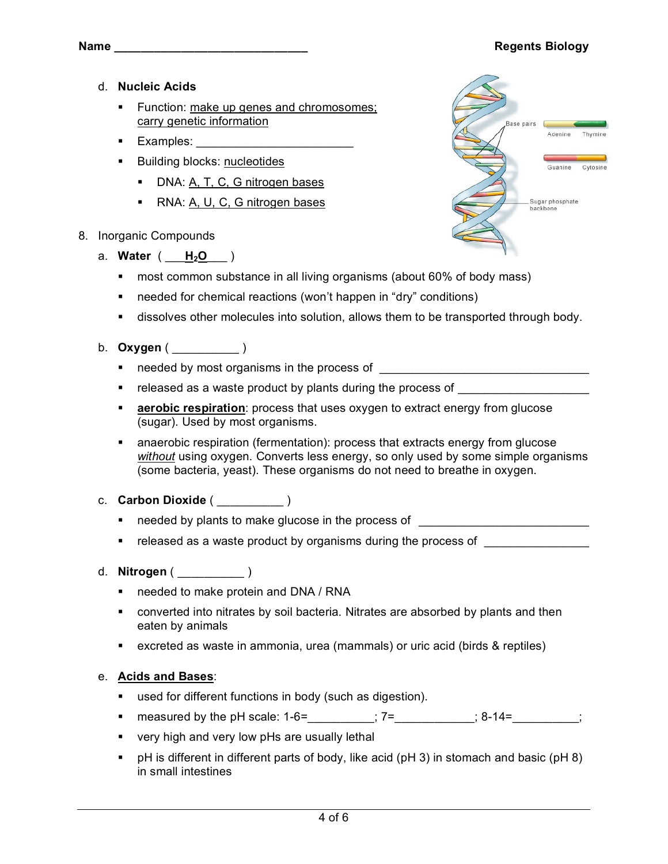#### **Name \_\_\_\_\_\_\_\_\_\_\_\_\_\_\_\_\_\_\_\_\_\_\_\_\_\_\_\_\_ Regents Biology**

- d. **Nucleic Acids**
	- **Function: make up genes and chromosomes;** carry genetic information
	- **Examples:**
	- Building blocks: nucleotides
		- DNA: A, T, C, G nitrogen bases
		- RNA: A, U, C, G nitrogen bases
- 8. Inorganic Compounds
	- a. **Water** ( \_\_\_**H2O**\_\_\_ )
		- most common substance in all living organisms (about 60% of body mass)
		- needed for chemical reactions (won't happen in "dry" conditions)
		- dissolves other molecules into solution, allows them to be transported through body.
	- b. **Oxygen** ( \_\_\_\_\_\_\_\_\_\_ )
		- needed by most organisms in the process of
		- released as a waste product by plants during the process of
		- **aerobic respiration**: process that uses oxygen to extract energy from glucose (sugar). Used by most organisms.
		- anaerobic respiration (fermentation): process that extracts energy from glucose *without* using oxygen. Converts less energy, so only used by some simple organisms (some bacteria, yeast). These organisms do not need to breathe in oxygen.
	- c. **Carbon Dioxide** ( \_\_\_\_\_\_\_\_\_\_ )
		- **needed by plants to make glucose in the process of**  $\blacksquare$
		- released as a waste product by organisms during the process of
	- d. **Nitrogen** ( \_\_\_\_\_\_\_\_\_\_ )
		- needed to make protein and DNA / RNA
		- converted into nitrates by soil bacteria. Nitrates are absorbed by plants and then eaten by animals
		- excreted as waste in ammonia, urea (mammals) or uric acid (birds & reptiles)

#### e. **Acids and Bases**:

- used for different functions in body (such as digestion).
- measured by the pH scale:  $1-6=$   $\frac{1}{2}$ ;  $7=$   $\frac{1}{2}$ ; 8-14=  $\frac{1}{2}$ ;
- very high and very low pHs are usually lethal
- $\bullet$  pH is different in different parts of body, like acid (pH 3) in stomach and basic (pH 8) in small intestines

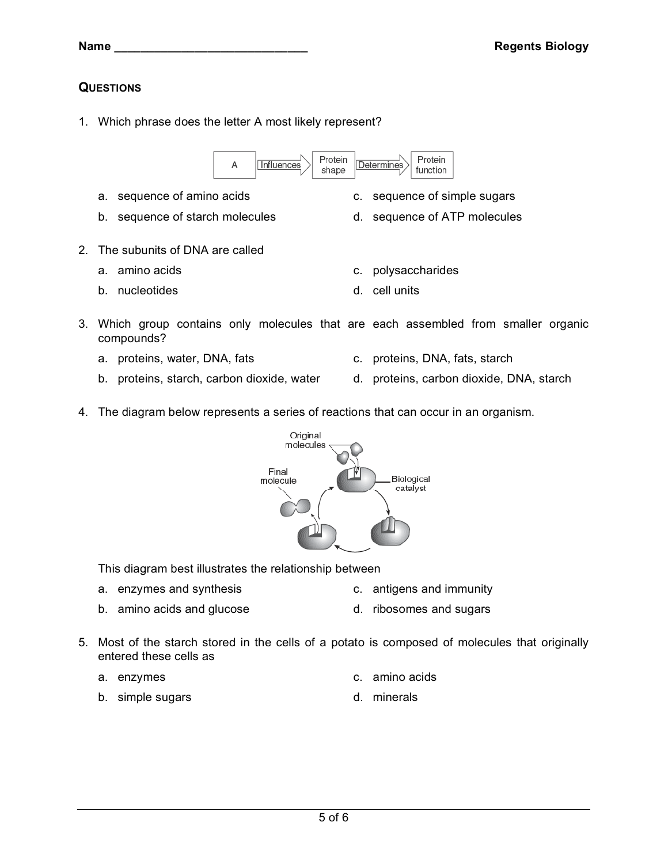# **QUESTIONS**

1. Which phrase does the letter A most likely represent?

A

3. Which group contains only molecules that are each assembled from smaller organic compounds?

Protein

shape

**Determines** 

- 
- 
- 4. The diagram below represents a series of reactions that can occur in an organism.

a. sequence of amino acids c. sequence of simple sugars b. sequence of starch molecules d. sequence of ATP molecules

**Influences** 

- This diagram best illustrates the relationship between
- a. enzymes and synthesis example a c. antigens and immunity
- b. amino acids and glucose d. ribosomes and sugars
- 5. Most of the starch stored in the cells of a potato is composed of molecules that originally entered these cells as
	- a. enzymes c. amino acids
	- b. simple sugars d. minerals

Protein

function

molecules Final Biological molecule catalyst

- 
-